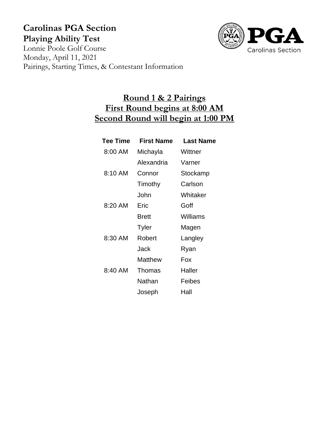# **Carolinas PGA Section Playing Ability Test**



Lonnie Poole Golf Course Monday, April 11, 2021 Pairings, Starting Times, & Contestant Information

## **Round 1 & 2 Pairings First Round begins at 8:00 AM Second Round will begin at 1:00 PM**

| <b>Tee Time</b> | <b>First Name</b> | Last Name |
|-----------------|-------------------|-----------|
| 8:00 AM         | Michayla          | Wittner   |
|                 | Alexandria        | Varner    |
| 8:10 AM         | Connor            | Stockamp  |
|                 | Timothy           | Carlson   |
|                 | John              | Whitaker  |
| 8:20 AM         | Eric              | Goff      |
|                 | Brett             | Williams  |
|                 | <b>Tyler</b>      | Magen     |
| 8:30 AM         | Robert            | Langley   |
|                 | Jack              | Ryan      |
|                 | Matthew           | Fox       |
| 8:40 AM         | <b>Thomas</b>     | Haller    |
|                 | Nathan            | Feibes    |
|                 | Joseph            | Hall      |